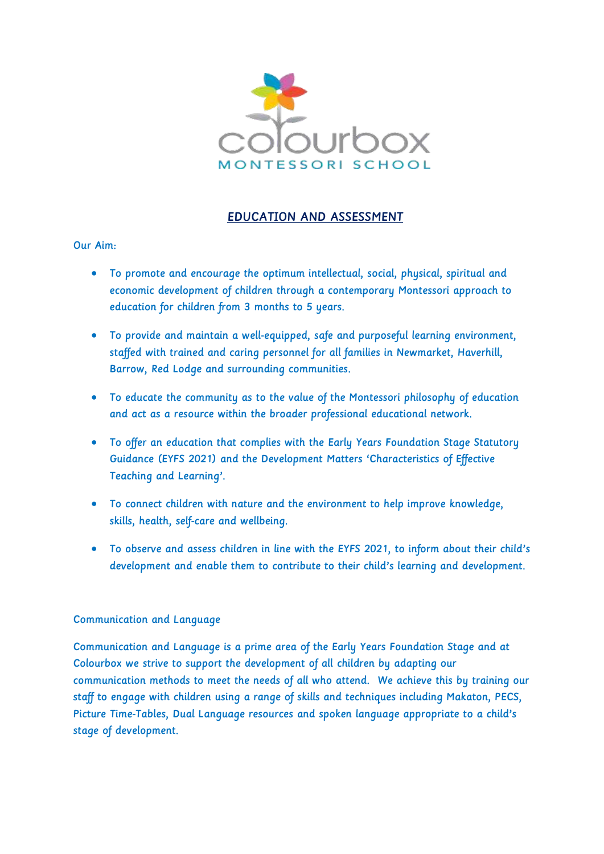

# EDUCATION AND ASSESSMENT

## Our Aim:

- To promote and encourage the optimum intellectual, social, physical, spiritual and economic development of children through a contemporary Montessori approach to education for children from 3 months to 5 years.
- To provide and maintain a well-equipped, safe and purposeful learning environment, staffed with trained and caring personnel for all families in Newmarket, Haverhill, Barrow, Red Lodge and surrounding communities.
- To educate the community as to the value of the Montessori philosophy of education and act as a resource within the broader professional educational network.
- To offer an education that complies with the Early Years Foundation Stage Statutory Guidance (EYFS 2021) and the Development Matters 'Characteristics of Effective Teaching and Learning'.
- To connect children with nature and the environment to help improve knowledge, skills, health, self-care and wellbeing.
- To observe and assess children in line with the EYFS 2021, to inform about their child's development and enable them to contribute to their child's learning and development.

## Communication and Language

Communication and Language is a prime area of the Early Years Foundation Stage and at Colourbox we strive to support the development of all children by adapting our communication methods to meet the needs of all who attend. We achieve this by training our staff to engage with children using a range of skills and techniques including Makaton, PECS, Picture Time-Tables, Dual Language resources and spoken language appropriate to a child's stage of development.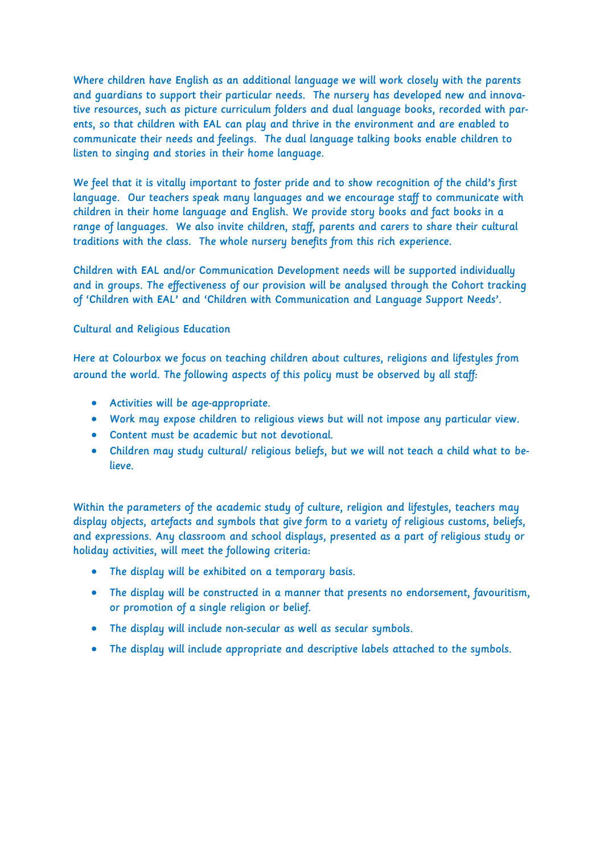Where children have English as an additional language we will work closely with the parents and guardians to support their particular needs. The nursery has developed new and innovative resources, such as picture curriculum folders and dual language books, recorded with parents, so that children with EAL can play and thrive in the environment and are enabled to communicate their needs and feelings. The dual language talking books enable children to listen to singing and stories in their home language.

We feel that it is vitally important to foster pride and to show recognition of the child's first language. Our teachers speak many languages and we encourage staff to communicate with children in their home language and English. We provide story books and fact books in a range of languages. We also invite children, staff, parents and carers to share their cultural traditions with the class. The whole nursery benefits from this rich experience.

Children with EAL and/or Communication Development needs will be supported individually and in groups. The effectiveness of our provision will be analysed through the Cohort tracking of 'Children with EAL' and 'Children with Communication and Language Support Needs'.

#### Cultural and Religious Education

Here at Colourbox we focus on teaching children about cultures, religions and lifestyles from around the world. The following aspects of this policy must be observed by all staff:

- Activities will be age-appropriate.
- Work may expose children to religious views but will not impose any particular view.
- Content must be academic but not devotional.
- Children may study cultural/ religious beliefs, but we will not teach a child what to believe.

Within the parameters of the academic study of culture, religion and lifestyles, teachers may display objects, artefacts and symbols that give form to a variety of religious customs, beliefs, and expressions. Any classroom and school displays, presented as a part of religious study or holiday activities, will meet the following criteria:

- The display will be exhibited on a temporary basis.
- The display will be constructed in a manner that presents no endorsement, favouritism, or promotion of a single religion or belief.
- The display will include non-secular as well as secular symbols.
- The display will include appropriate and descriptive labels attached to the symbols.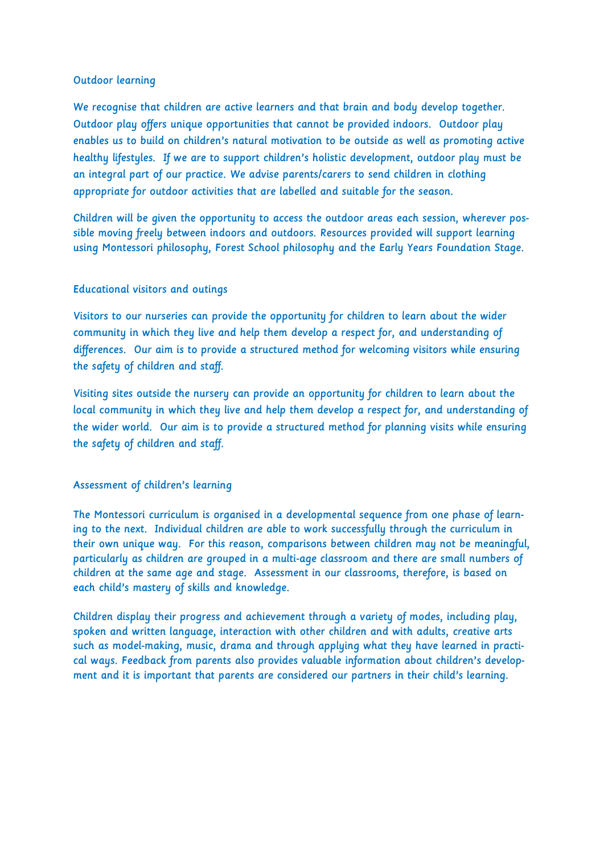#### Outdoor learning

We recognise that children are active learners and that brain and body develop together. Outdoor play offers unique opportunities that cannot be provided indoors. Outdoor play enables us to build on children's natural motivation to be outside as well as promoting active healthy lifestyles. If we are to support children's holistic development, outdoor play must be an integral part of our practice. We advise parents/carers to send children in clothing appropriate for outdoor activities that are labelled and suitable for the season.

Children will be given the opportunity to access the outdoor areas each session, wherever possible moving freely between indoors and outdoors. Resources provided will support learning using Montessori philosophy, Forest School philosophy and the Early Years Foundation Stage.

## Educational visitors and outings

Visitors to our nurseries can provide the opportunity for children to learn about the wider community in which they live and help them develop a respect for, and understanding of differences. Our aim is to provide a structured method for welcoming visitors while ensuring the safety of children and staff.

Visiting sites outside the nursery can provide an opportunity for children to learn about the local community in which they live and help them develop a respect for, and understanding of the wider world. Our aim is to provide a structured method for planning visits while ensuring the safety of children and staff.

## Assessment of children's learning

The Montessori curriculum is organised in a developmental sequence from one phase of learning to the next. Individual children are able to work successfully through the curriculum in their own unique way. For this reason, comparisons between children may not be meaningful, particularly as children are grouped in a multi-age classroom and there are small numbers of children at the same age and stage. Assessment in our classrooms, therefore, is based on each child's mastery of skills and knowledge.

Children display their progress and achievement through a variety of modes, including play, spoken and written language, interaction with other children and with adults, creative arts such as model-making, music, drama and through applying what they have learned in practical ways. Feedback from parents also provides valuable information about children's development and it is important that parents are considered our partners in their child's learning.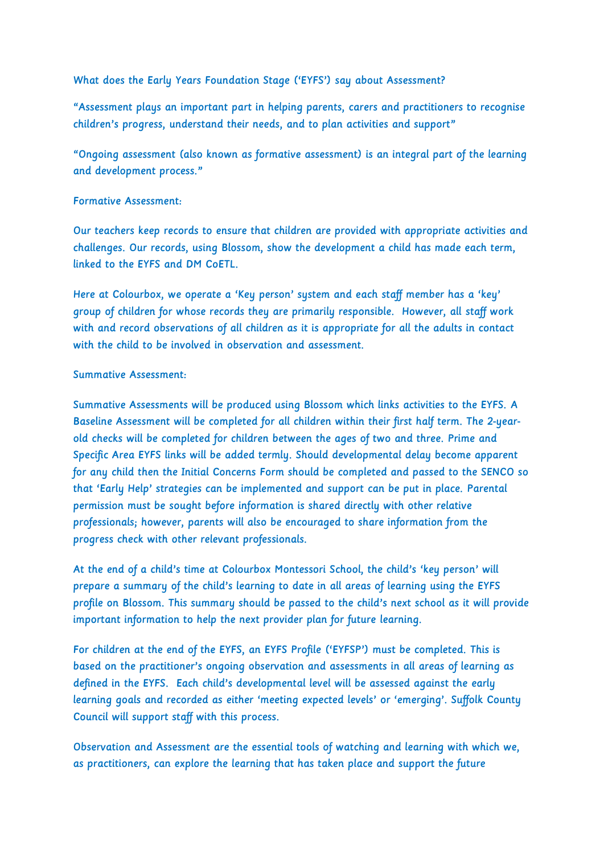What does the Early Years Foundation Stage ('EYFS') say about Assessment?

"Assessment plays an important part in helping parents, carers and practitioners to recognise children's progress, understand their needs, and to plan activities and support"

"Ongoing assessment (also known as formative assessment) is an integral part of the learning and development process."

### Formative Assessment:

Our teachers keep records to ensure that children are provided with appropriate activities and challenges. Our records, using Blossom, show the development a child has made each term, linked to the EYFS and DM CoETL.

Here at Colourbox, we operate a 'Key person' system and each staff member has a 'key' group of children for whose records they are primarily responsible. However, all staff work with and record observations of all children as it is appropriate for all the adults in contact with the child to be involved in observation and assessment.

#### Summative Assessment:

Summative Assessments will be produced using Blossom which links activities to the EYFS. A Baseline Assessment will be completed for all children within their first half term. The 2-yearold checks will be completed for children between the ages of two and three. Prime and Specific Area EYFS links will be added termly. Should developmental delay become apparent for any child then the Initial Concerns Form should be completed and passed to the SENCO so that 'Early Help' strategies can be implemented and support can be put in place. Parental permission must be sought before information is shared directly with other relative professionals; however, parents will also be encouraged to share information from the progress check with other relevant professionals.

At the end of a child's time at Colourbox Montessori School, the child's 'key person' will prepare a summary of the child's learning to date in all areas of learning using the EYFS profile on Blossom. This summary should be passed to the child's next school as it will provide important information to help the next provider plan for future learning.

For children at the end of the EYFS, an EYFS Profile ('EYFSP') must be completed. This is based on the practitioner's ongoing observation and assessments in all areas of learning as defined in the EYFS. Each child's developmental level will be assessed against the early learning goals and recorded as either 'meeting expected levels' or 'emerging'. Suffolk County Council will support staff with this process.

Observation and Assessment are the essential tools of watching and learning with which we, as practitioners, can explore the learning that has taken place and support the future